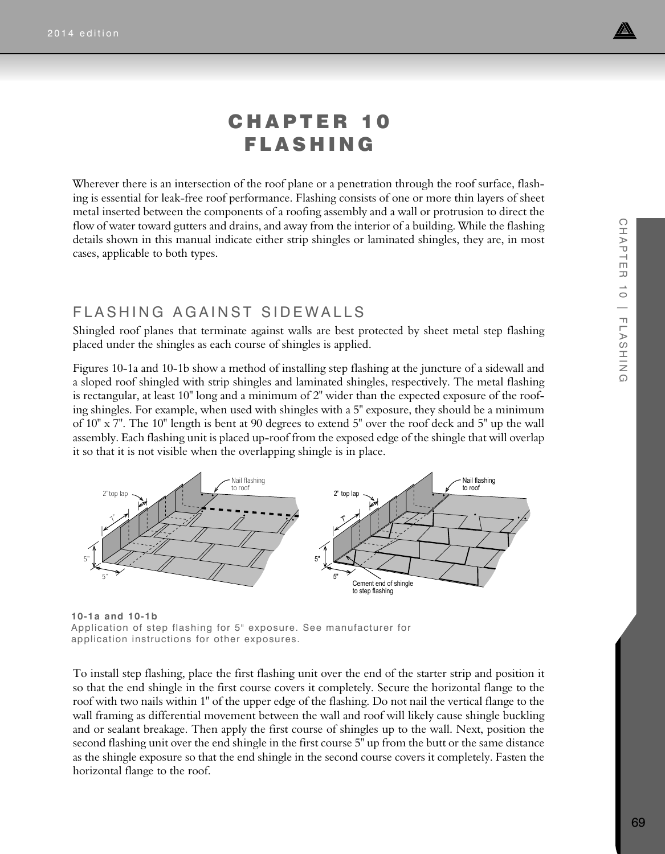

 $\bigcirc$ 

HAPTE

 $\overline{\phantom{m}}$  $\rightarrow$  $\circ$ 

# CHAPTER 10 FLASHING

Wherever there is an intersection of the roof plane or a penetration through the roof surface, flashing is essential for leak-free roof performance. Flashing consists of one or more thin layers of sheet metal inserted between the components of a roofing assembly and a wall or protrusion to direct the flow of water toward gutters and drains, and away from the interior of a building. While the flashing details shown in this manual indicate either strip shingles or laminated shingles, they are, in most cases, applicable to both types.

### FLASHING AGAINST SIDEWALLS

Shingled roof planes that terminate against walls are best protected by sheet metal step flashing placed under the shingles as each course of shingles is applied.

Figures 10-1a and 10-1b show a method of installing step flashing at the juncture of a sidewall and a sloped roof shingled with strip shingles and laminated shingles, respectively. The metal flashing is rectangular, at least 10" long and a minimum of 2" wider than the expected exposure of the roofing shingles. For example, when used with shingles with a 5" exposure, they should be a minimum of 10" x 7". The 10" length is bent at 90 degrees to extend 5" over the roof deck and 5" up the wall assembly. Each flashing unit is placed up-roof from the exposed edge of the shingle that will overlap it so that it is not visible when the overlapping shingle is in place.



**10-1a and 10-1b** Application of step flashing for 5" exposure. See manufacturer for application instructions for other exposures.

To install step flashing, place the first flashing unit over the end of the starter strip and position it so that the end shingle in the first course covers it completely. Secure the horizontal flange to the roof with two nails within 1" of the upper edge of the flashing. Do not nail the vertical flange to the wall framing as differential movement between the wall and roof will likely cause shingle buckling and or sealant breakage. Then apply the first course of shingles up to the wall. Next, position the second flashing unit over the end shingle in the first course 5" up from the butt or the same distance as the shingle exposure so that the end shingle in the second course covers it completely. Fasten the horizontal flange to the roof.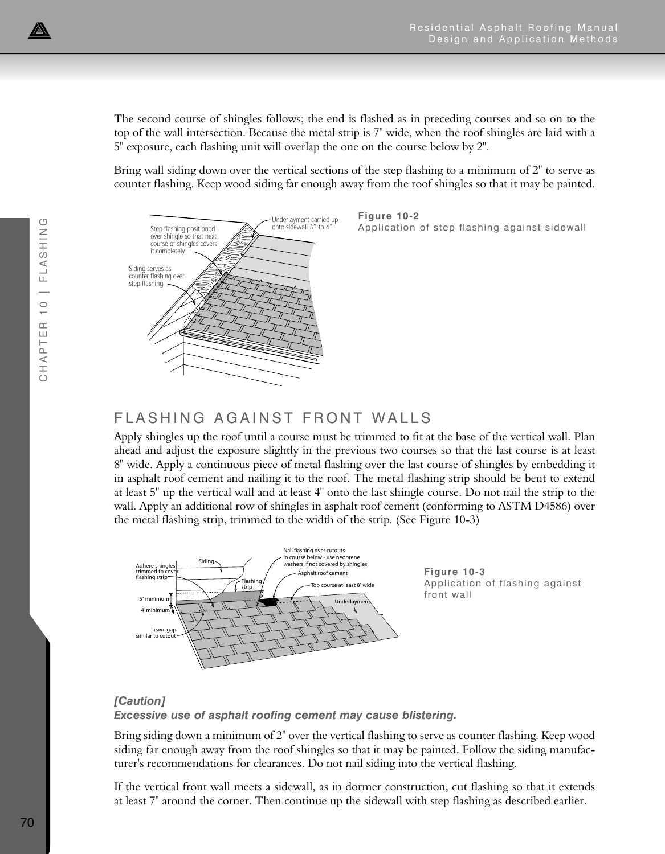The second course of shingles follows; the end is flashed as in preceding courses and so on to the top of the wall intersection. Because the metal strip is 7" wide, when the roof shingles are laid with a 5" exposure, each flashing unit will overlap the one on the course below by 2".

Bring wall siding down over the vertical sections of the step flashing to a minimum of 2" to serve as counter flashing. Keep wood siding far enough away from the roof shingles so that it may be painted.



**Figure 10-2** Application of step flashing against sidewall

# FLASHING AGAINST FRONT WALLS

Apply shingles up the roof until a course must be trimmed to fit at the base of the vertical wall. Plan ahead and adjust the exposure slightly in the previous two courses so that the last course is at least 8" wide. Apply a continuous piece of metal flashing over the last course of shingles by embedding it in asphalt roof cement and nailing it to the roof. The metal flashing strip should be bent to extend at least 5" up the vertical wall and at least 4" onto the last shingle course. Do not nail the strip to the wall. Apply an additional row of shingles in asphalt roof cement (conforming to ASTM D4586) over the metal flashing strip, trimmed to the width of the strip. (See Figure 10-3)



### *[Caution] Excessive use of asphalt roofing cement may cause blistering.*

Bring siding down a minimum of 2" over the vertical flashing to serve as counter flashing. Keep wood siding far enough away from the roof shingles so that it may be painted. Follow the siding manufacturer's recommendations for clearances. Do not nail siding into the vertical flashing.

If the vertical front wall meets a sidewall, as in dormer construction, cut flashing so that it extends at least 7" around the corner. Then continue up the sidewall with step flashing as described earlier.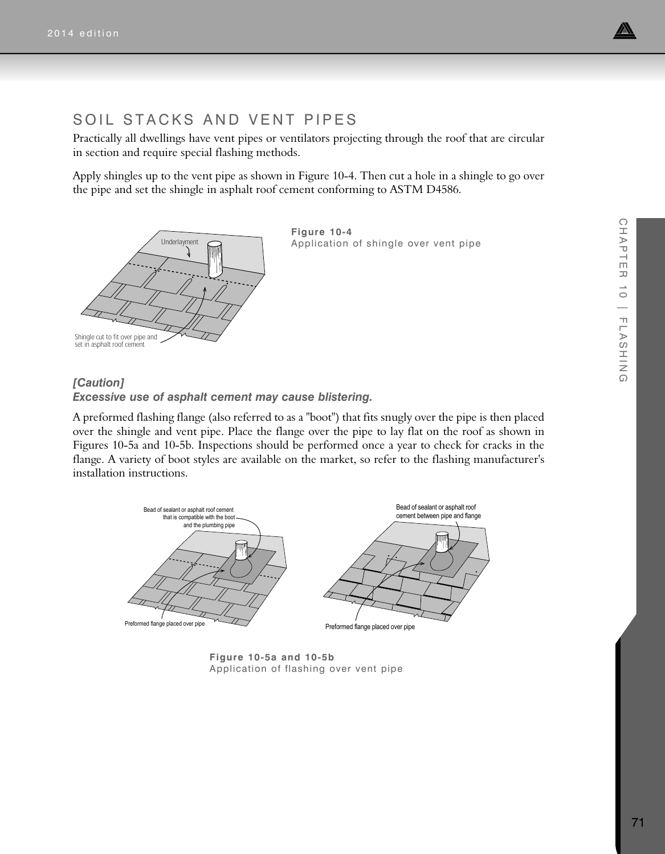

## SOIL STACKS AND VENT PIPES

Practically all dwellings have vent pipes or ventilators projecting through the roof that are circular in section and require special flashing methods.

Apply shingles up to the vent pipe as shown in Figure 10-4. Then cut a hole in a shingle to go over the pipe and set the shingle in asphalt roof cement conforming to ASTM D4586.



**Figure 10-4** Application of shingle over vent pipe

#### *[Caution] Excessive use of asphalt cement may cause blistering.*

A preformed flashing flange (also referred to as a "boot") that fits snugly over the pipe is then placed over the shingle and vent pipe. Place the flange over the pipe to lay flat on the roof as shown in Figures 10-5a and 10-5b. Inspections should be performed once a year to check for cracks in the flange. A variety of boot styles are available on the market, so refer to the flashing manufacturer's installation instructions.



**Figure 10-5a and 10-5b**  Application of flashing over vent pipe